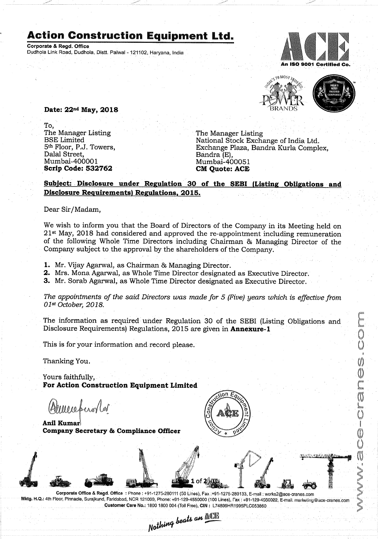## **Action Construction Equipment Ltd.**

Corporate & Regd. Office Dudhola Link Road, Dudhola, Distt. Palwal - 121102, Haryana, India





 $\bigcirc$ 

**CONS** 

 $\overline{()}$ 100000 O Ŭ

 $\overline{0}$ 

may - 78 1:...

Date: 22<sup>nd</sup> May, 2018

To. The Manager Listing The Manager Listing BSE Limited<br>5<sup>th</sup> Floor, P.J. Towers, Dalal Street,<br>Mumbai-400001 Scrip Code: 532762

National Stock Exchange of India Ltd. Exchange Plaza, Bandra Kurla Complex,<br>Bandra (E), Mumbai-400051<br>CM Quote: ACE

## Subject: Disclosure under Regulation 30 of the SEBI (Listing Obligations and Disclosure Requirements) Regulations, 2015.

Dear Sir/Madam,

We wish to inform you that the Board of Directors of the Company in its Meeting held on  $21<sup>st</sup>$  May, 2018 had considered and approved the re-appointment including remuneration of the following Whole Time Directors including Chairman <sup>86</sup> Managing Director of the Company subject to the approval by the shareholders of the Company.

1. Mr. Vijay Agarwal, as Chairman & Managing Director.

2. Mrs. Mona Agarwal, as Whole Time Director designated as Executive Director.

3. Mr. Sorab Agarwal, as Whole Time Director designated as Executive Director.

The appointments of the said Directors was made for <sup>5</sup> (Five) years which is effective from 01st October, 2018.

The information as required under Regulation <sup>30</sup> of the SEBI (Listing Obligations and Disclosure Requirements) Regulations, 2015 are given in **Annexure-1** 

This is for your information and record please.

Thanking You.

Yours faithfully, For Action Construction Equipment Limited

messander

Anil Kumar Company Secretary & Compliance Officer



Corporate Office & Regd. Office: Phone: +91-1275-280111 (50 Lines), Fax: +91-1275-280133, E-mail: works2@ace-cranes.com Mktg. H.Q.: 4th Floor, Pinnacle, Surajkund, Faridabad, NCR 121009, Phone: +91-129-4550000 (100 Lines), Fax: +91-129-4550022, E-mail. marketing@ace-cranes.com Customer Care No.: 1800 1800 004 (Toll Free), CIN: L74899HR1995PLC053860

Nothing beats an NOTE